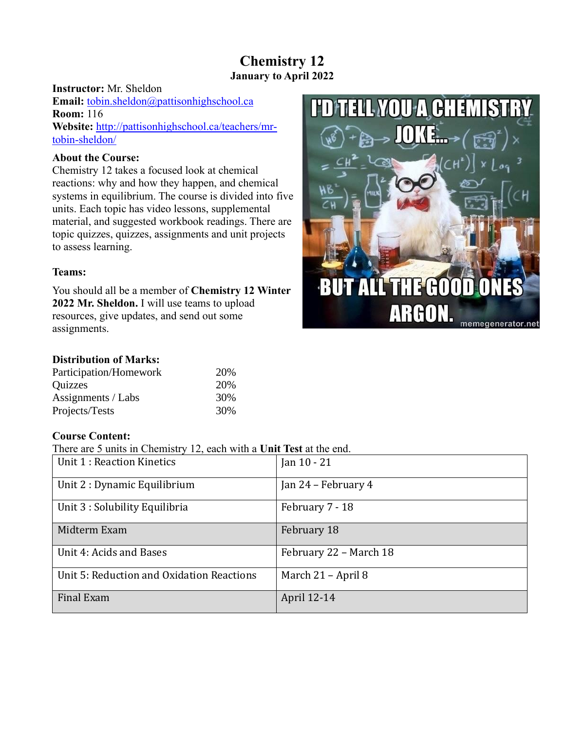# **Chemistry 12 January to April 2022**

# **Instructor:** Mr. Sheldon **Email:** [tobin.sheldon@pattisonhighschool.ca](mailto:tobin.sheldon@pattisonhighschool.ca) **Room:** 116 **Website:** [http://pattisonhighschool.ca/teachers/mr](http://pattisonhighschool.ca/teachers/mr-tobin-sheldon/)[tobin-sheldon/](http://pattisonhighschool.ca/teachers/mr-tobin-sheldon/)

# **About the Course:**

Chemistry 12 takes a focused look at chemical reactions: why and how they happen, and chemical systems in equilibrium. The course is divided into five units. Each topic has video lessons, supplemental material, and suggested workbook readings. There are topic quizzes, quizzes, assignments and unit projects to assess learning.

# **Teams:**

You should all be a member of **Chemistry 12 Winter 2022 Mr. Sheldon.** I will use teams to upload resources, give updates, and send out some assignments.



# **Distribution of Marks:**

| Participation/Homework | 20% |
|------------------------|-----|
| <b>Quizzes</b>         | 20% |
| Assignments / Labs     | 30% |
| Projects/Tests         | 30% |

# **Course Content:**

There are 5 units in Chemistry 12, each with a **Unit Test** at the end.

| THEIC are 9 units in Chemistry 12, each with a Unit Test at the chu. |                        |
|----------------------------------------------------------------------|------------------------|
| Unit 1 : Reaction Kinetics                                           | Jan $10 - 21$          |
| Unit 2 : Dynamic Equilibrium                                         | Jan 24 - February 4    |
| Unit 3 : Solubility Equilibria                                       | February 7 - 18        |
| Midterm Exam                                                         | February 18            |
| Unit 4: Acids and Bases                                              | February 22 - March 18 |
| Unit 5: Reduction and Oxidation Reactions                            | March 21 – April 8     |
| Final Exam                                                           | April 12-14            |